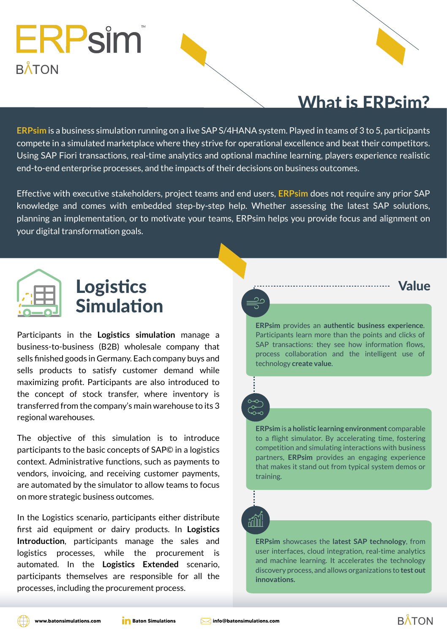

**ERPsim** is a business simulation running on a live SAP S/4HANA system. Played in teams of 3 to 5, participants compete in a simulated marketplace where they strive for operational excellence and beat their competitors. Using SAP Fiori transactions, real-time analytics and optional machine learning, players experience realistic end-to-end enterprise processes, and the impacts of their decisions on business outcomes.

Effective with executive stakeholders, project teams and end users, **ERPsim** does not require any prior SAP knowledge and comes with embedded step-by-step help. Whether assessing the latest SAP solutions, planning an implementation, or to motivate your teams, ERPsim helps you provide focus and alignment on your digital transformation goals.

# ERPsim **BÅTON**



Participants in the **Logistics simulation** manage a



business-to-business (B2B) wholesale company that sells finished goods in Germany. Each company buys and sells products to satisfy customer demand while maximizing profit. Participants are also introduced to the concept of stock transfer, where inventory is transferred from the company's main warehouse to its 3 regional warehouses.

The objective of this simulation is to introduce participants to the basic concepts of SAP© in a logistics context. Administrative functions, such as payments to vendors, invoicing, and receiving customer payments, are automated by the simulator to allow teams to focus on more strategic business outcomes.

In the Logistics scenario, participants either distribute first aid equipment or dairy products. In **Logistics Introduction**, participants manage the sales and logistics processes, while the procurement is automated. In the **Logistics Extended** scenario, participants themselves are responsible for all the processes, including the procurement process.

## $\overline{O}$  $\overline{\mathrm{O}}$  $\overline{O}$

Value

**ERPsim** showcases the **latest SAP technology**, from user interfaces, cloud integration, real-time analytics and machine learning. It accelerates the technology discovery process, and allows organizations to **test out innovations.**

**ERPsim** provides an **authentic business experience**. Participants learn more than the points and clicks of SAP transactions: they see how information flows, process collaboration and the intelligent use of technology **create value**.

**ERPsim** is **a holistic learning environment** comparable to a flight simulator. By accelerating time, fostering competition and simulating interactions with business partners, **ERPsim** provides an engaging experience that makes it stand out from typical system demos or training.